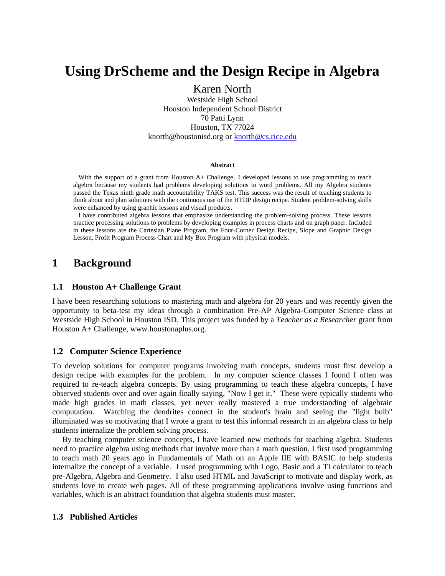# **Using DrScheme and the Design Recipe in Algebra**

Karen North Westside High School Houston Independent School District 70 Patti Lynn Houston, TX 77024 [knorth@houstonisd.org](mailto:knorth@houstonisd.org) or [knorth@cs.rice.edu](mailto:knorth@cs.rice.edu)

#### **Abstract**

With the support of a grant from Houston A+ Challenge, I developed lessons to use programming to teach algebra because my students had problems developing solutions to word problems. All my Algebra students passed the Texas ninth grade math accountability TAKS test. This success was the result of teaching students to think about and plan solutions with the continuous use of the HTDP design recipe. Student problem-solving skills were enhanced by using graphic lessons and visual products.

I have contributed algebra lessons that emphasize understanding the problem-solving process. These lessons practice processing solutions to problems by developing examples in process charts and on graph paper. Included in these lessons are the Cartesian Plane Program, the Four-Corner Design Recipe, Slope and Graphic Design Lesson, Profit Program Process Chart and My Box Program with physical models.

## **1 Background**

## **1.1 Houston A+ Challenge Grant**

I have been researching solutions to mastering math and algebra for 20 years and was recently given the opportunity to beta-test my ideas through a combination Pre-AP Algebra-Computer Science class at Westside High School in Houston ISD. This project was funded by a *Teacher as a Researcher* grant from Houston A+ Challenge, [www.houstonaplus.org.](http://www.houstonaplus.org/)

## **1.2 Computer Science Experience**

To develop solutions for computer programs involving math concepts, students must first develop a design recipe with examples for the problem. In my computer science classes I found I often was required to re-teach algebra concepts. By using programming to teach these algebra concepts, I have observed students over and over again finally saying, "Now I get it." These were typically students who made high grades in math classes, yet never really mastered a true understanding of algebraic computation. Watching the dendrites connect in the student's brain and seeing the "light bulb" illuminated was so motivating that I wrote a grant to test this informal research in an algebra class to help students internalize the problem solving process.

 By teaching computer science concepts, I have learned new methods for teaching algebra. Students need to practice algebra using methods that involve more than a math question. I first used programming to teach math 20 years ago in Fundamentals of Math on an Apple IIE with BASIC to help students internalize the concept of a variable. I used programming with Logo, Basic and a TI calculator to teach pre-Algebra, Algebra and Geometry. I also used HTML and JavaScript to motivate and display work, as students love to create web pages. All of these programming applications involve using functions and variables, which is an abstract foundation that algebra students must master.

## **1.3 Published Articles**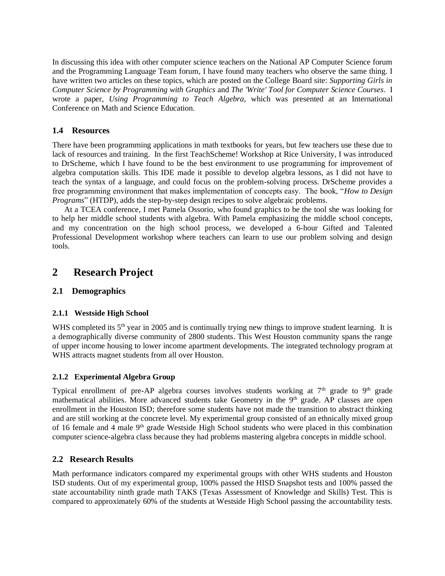In discussing this idea with other computer science teachers on the National AP Computer Science forum and the Programming Language Team forum, I have found many teachers who observe the same thing. I have written two articles on these topics, which are posted on the College Board site: *Supporting Girls in Computer Science by Programming with Graphics* and *The 'Write' Tool for Computer Science Courses*. I wrote a paper, *Using Programming to Teach Algebra*, which was presented at an International Conference on Math and Science Education.

## **1.4 Resources**

There have been programming applications in math textbooks for years, but few teachers use these due to lack of resources and training. In the first TeachScheme! Workshop at Rice University, I was introduced to DrScheme, which I have found to be the best environment to use programming for improvement of algebra computation skills. This IDE made it possible to develop algebra lessons, as I did not have to teach the syntax of a language, and could focus on the problem-solving process. DrScheme provides a free programming environment that makes implementation of concepts easy. The book, "*How to Design Programs*" (HTDP), adds the step-by-step design recipes to solve algebraic problems.

 At a TCEA conference, I met Pamela Ossorio, who found graphics to be the tool she was looking for to help her middle school students with algebra. With Pamela emphasizing the middle school concepts, and my concentration on the high school process, we developed a 6-hour Gifted and Talented Professional Development workshop where teachers can learn to use our problem solving and design tools.

## **2 Research Project**

## **2.1 Demographics**

## **2.1.1 Westside High School**

WHS completed its 5<sup>th</sup> year in 2005 and is continually trying new things to improve student learning. It is a demographically diverse community of 2800 students. This West Houston community spans the range of upper income housing to lower income apartment developments. The integrated technology program at WHS attracts magnet students from all over Houston.

## **2.1.2 Experimental Algebra Group**

Typical enrollment of pre-AP algebra courses involves students working at  $7<sup>th</sup>$  grade to  $9<sup>th</sup>$  grade mathematical abilities. More advanced students take Geometry in the 9<sup>th</sup> grade. AP classes are open enrollment in the Houston ISD; therefore some students have not made the transition to abstract thinking and are still working at the concrete level. My experimental group consisted of an ethnically mixed group of 16 female and 4 male  $9<sup>th</sup>$  grade Westside High School students who were placed in this combination computer science-algebra class because they had problems mastering algebra concepts in middle school.

## **2.2 Research Results**

Math performance indicators compared my experimental groups with other WHS students and Houston ISD students. Out of my experimental group, 100% passed the HISD Snapshot tests and 100% passed the state accountability ninth grade math TAKS (Texas Assessment of Knowledge and Skills) Test. This is compared to approximately 60% of the students at Westside High School passing the accountability tests.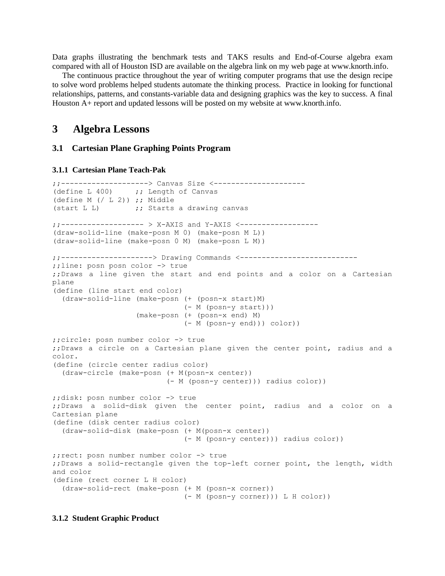Data graphs illustrating the benchmark tests and TAKS results and End-of-Course algebra exam compared with all of Houston ISD are available on the algebra link on my web page at [www.knorth.info.](http://www.knorth.info/)

 The continuous practice throughout the year of writing computer programs that use the design recipe to solve word problems helped students automate the thinking process. Practice in looking for functional relationships, patterns, and constants-variable data and designing graphics was the key to success. A final Houston A+ report and updated lessons will be posted on my website a[t www.knorth.info.](http://www.knorth.info/)

## **3 Algebra Lessons**

## **3.1 Cartesian Plane Graphing Points Program**

#### **3.1.1 Cartesian Plane Teach-Pak**

```
;;--------------------> Canvas Size <---------------------
(define L 400) ;; Length of Canvas
(define M (/ L 2)) ;; Middle
(start L L) \qquad \qquad ;; Starts a drawing canvas
;;------------------- > X-AXIS and Y-AXIS <------------------
(draw-solid-line (make-posn M 0) (make-posn M L))
(draw-solid-line (make-posn 0 M) (make-posn L M))
;;---------------------> Drawing Commands <---------------------------
;;line: posn posn color -> true
;;Draws a line given the start and end points and a color on a Cartesian 
plane
(define (line start end color)
   (draw-solid-line (make-posn (+ (posn-x start)M) 
                              (- M (posn-y start)))
                    (make-posn (+ (posn-x end) M) 
                              (- M (posn-y end))) color))
;;circle: posn number color -> true
;;Draws a circle on a Cartesian plane given the center point, radius and a 
color.
(define (circle center radius color)
   (draw-circle (make-posn (+ M(posn-x center)) 
                           (- M (posn-y center))) radius color))
;;disk: posn number color -> true
;;Draws a solid-disk given the center point, radius and a color on a 
Cartesian plane
(define (disk center radius color)
   (draw-solid-disk (make-posn (+ M(posn-x center)) 
                               (- M (posn-y center))) radius color))
;;rect: posn number number color -> true
;;Draws a solid-rectangle given the top-left corner point, the length, width 
and color
(define (rect corner L H color)
   (draw-solid-rect (make-posn (+ M (posn-x corner)) 
                              (- M (posn-y corner))) L H color))
```
#### **3.1.2 Student Graphic Product**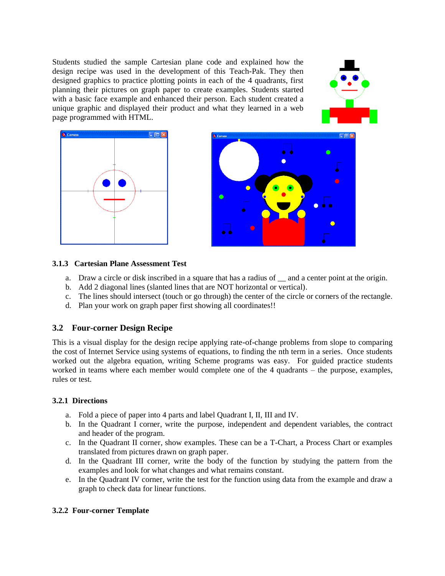Students studied the sample Cartesian plane code and explained how the design recipe was used in the development of this Teach-Pak. They then designed graphics to practice plotting points in each of the 4 quadrants, first planning their pictures on graph paper to create examples. Students started with a basic face example and enhanced their person. Each student created a unique graphic and displayed their product and what they learned in a web page programmed with HTML.





## **3.1.3 Cartesian Plane Assessment Test**

- a. Draw a circle or disk inscribed in a square that has a radius of and a center point at the origin.
- b. Add 2 diagonal lines (slanted lines that are NOT horizontal or vertical).
- c. The lines should intersect (touch or go through) the center of the circle or corners of the rectangle.
- d. Plan your work on graph paper first showing all coordinates!!

## **3.2 Four-corner Design Recipe**

This is a visual display for the design recipe applying rate-of-change problems from slope to comparing the cost of Internet Service using systems of equations, to finding the nth term in a series. Once students worked out the algebra equation, writing Scheme programs was easy. For guided practice students worked in teams where each member would complete one of the 4 quadrants – the purpose, examples, rules or test.

## **3.2.1 Directions**

- a. Fold a piece of paper into 4 parts and label Quadrant I, II, III and IV.
- b. In the Quadrant I corner, write the purpose, independent and dependent variables, the contract and header of the program.
- c. In the Quadrant II corner, show examples. These can be a T-Chart, a Process Chart or examples translated from pictures drawn on graph paper.
- d. In the Quadrant III corner, write the body of the function by studying the pattern from the examples and look for what changes and what remains constant.
- e. In the Quadrant IV corner, write the test for the function using data from the example and draw a graph to check data for linear functions.

## **3.2.2 Four-corner Template**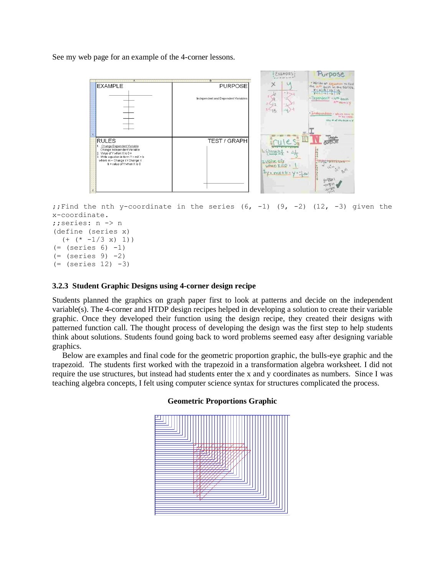See my web page for an example of the 4-corner lessons.



```
;; Find the nth y-coordinate in the series (6, -1) (9, -2) (12, -3) given the
x-coordinate.
;;series: n -> n
(define (series x)
  (+ (* -1/3 x) 1))
( = (series 6) -1)( = (series 9) -2)( = (series 12) -3)
```
## **3.2.3 Student Graphic Designs using 4-corner design recipe**

Students planned the graphics on graph paper first to look at patterns and decide on the independent variable(s). The 4-corner and HTDP design recipes helped in developing a solution to create their variable graphic. Once they developed their function using the design recipe, they created their designs with patterned function call. The thought process of developing the design was the first step to help students think about solutions. Students found going back to word problems seemed easy after designing variable graphics.

 Below are examples and final code for the geometric proportion graphic, the bulls-eye graphic and the trapezoid. The students first worked with the trapezoid in a transformation algebra worksheet. I did not require the use structures, but instead had students enter the x and y coordinates as numbers. Since I was teaching algebra concepts, I felt using computer science syntax for structures complicated the process.



## **Geometric Proportions Graphic**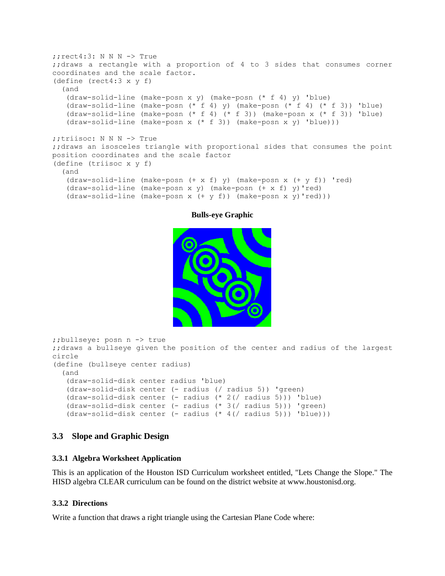```
; ; rect4:3: N N N -> True
;;draws a rectangle with a proportion of 4 to 3 sides that consumes corner 
coordinates and the scale factor. 
(define (rect4:3 x y f)
   (and
    (draw-solid-line (make-posn x y) (make-posn (* f 4) y) 'blue)
    (draw-solid-line (make-posn (* f 4) y) (make-posn (* f 4) (* f 3)) 'blue)
    (draw-solid-line (make-posn (* f 4) (* f 3)) (make-posn x (* f 3)) 'blue)
    (draw-solid-line (make-posn x (* f 3)) (make-posn x y) 'blue)))
;;triisoc: N N N -> True
;;draws an isosceles triangle with proportional sides that consumes the point 
position coordinates and the scale factor
(define (triisoc x y f)
   (and
    (draw-solid-line (make-posn (+ x f) y) (make-posn x (+ y f)) 'red)
    (draw-solid-line (make-posn x y) (make-posn (+ x f) y)'red)
    (draw-solid-line (make-posn x (+ y f)) (make-posn x y)'red)))
```
## **Bulls-eye Graphic**



```
;;bullseye: posn n -> true
;;draws a bullseye given the position of the center and radius of the largest 
circle
(define (bullseye center radius)
   (and
    (draw-solid-disk center radius 'blue)
    (draw-solid-disk center (- radius (/ radius 5)) 'green)
    (draw-solid-disk center (- radius (* 2(/ radius 5))) 'blue)
    (draw-solid-disk center (- radius (* 3(/ radius 5))) 'green)
    (draw-solid-disk center (- radius (* 4(/ radius 5))) 'blue)))
```
## **3.3 Slope and Graphic Design**

## **3.3.1 Algebra Worksheet Application**

This is an application of the Houston ISD Curriculum worksheet entitled, "Lets Change the Slope." The HISD algebra CLEAR curriculum can be found on the district website at [www.houstonisd.org.](http://www.houstonisdorg/)

## **3.3.2 Directions**

Write a function that draws a right triangle using the Cartesian Plane Code where: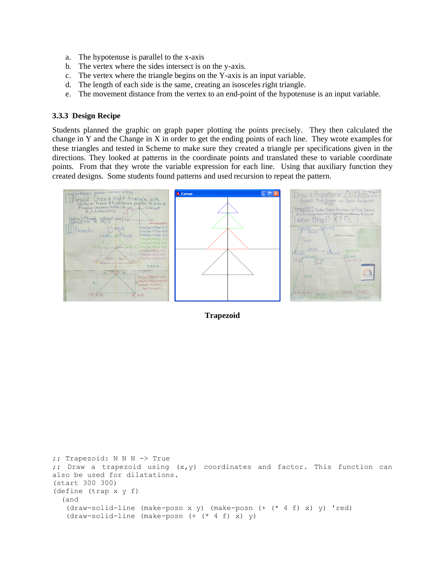- a. The hypotenuse is parallel to the x-axis
- b. The vertex where the sides intersect is on the y-axis.
- c. The vertex where the triangle begins on the Y-axis is an input variable.
- d. The length of each side is the same, creating an isosceles right triangle.
- e. The movement distance from the vertex to an end-point of the hypotenuse is an input variable.

## **3.3.3 Design Recipe**

Students planned the graphic on graph paper plotting the points precisely. They then calculated the change in Y and the Change in X in order to get the ending points of each line. They wrote examples for these triangles and tested in Scheme to make sure they created a triangle per specifications given in the directions. They looked at patterns in the coordinate points and translated these to variable coordinate points. From that they wrote the variable expression for each line. Using that auxiliary function they created designs. Some students found patterns and used recursion to repeat the pattern.



#### **Trapezoid**

```
;; Trapezoid: N N N -> True
;; Draw a trapezoid using (x,y) coordinates and factor. This function can 
also be used for dilatations.
(start 300 300)
(define (trap x y f)
   (and
    (draw-solid-line (make-posn x y) (make-posn (+ (* 4 f) x) y) 'red)
    (draw-solid-line (make-posn (+ (* 4 f) x) y)
```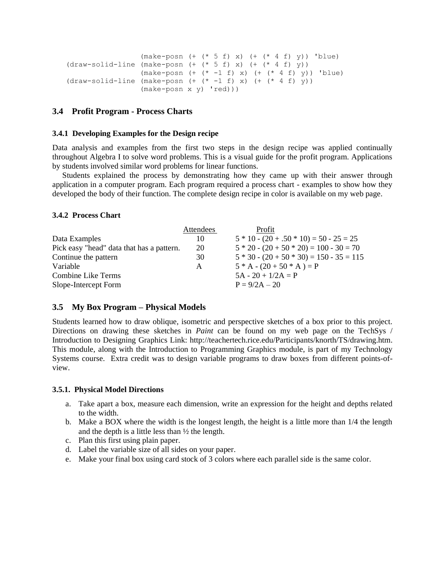```
 (make-posn (+ (* 5 f) x) (+ (* 4 f) y)) 'blue)
(draw-solid-line (make-posn (+ (* 5 f) x) (+ (* 4 f) y))(make-posn (+ (* -1 f) x) (+ (* 4 f) y)) 'blue)
(draw-solid-line (make-posn (+ (* -1 f) x) (+ (* 4 f) y)) (make-posn x y) 'red)))
```
## **3.4 Profit Program - Process Charts**

### **3.4.1 Developing Examples for the Design recipe**

Data analysis and examples from the first two steps in the design recipe was applied continually throughout Algebra I to solve word problems. This is a visual guide for the profit program. Applications by students involved similar word problems for linear functions.

 Students explained the process by demonstrating how they came up with their answer through application in a computer program. Each program required a process chart - examples to show how they developed the body of their function. The complete design recipe in color is available on my web page.

## **3.4.2 Process Chart**

|                                           | Attendees | Profit                                     |
|-------------------------------------------|-----------|--------------------------------------------|
| Data Examples                             | 10        | $5 * 10 - (20 + .50 * 10) = 50 - 25 = 25$  |
| Pick easy "head" data that has a pattern. | 20        | $5 * 20 - (20 + 50 * 20) = 100 - 30 = 70$  |
| Continue the pattern                      | 30        | $5 * 30 - (20 + 50 * 30) = 150 - 35 = 115$ |
| Variable                                  | A         | $5*A - (20 + 50*A) = P$                    |
| Combine Like Terms                        |           | $5A - 20 + 1/2A = P$                       |
| Slope-Intercept Form                      |           | $P = 9/2A - 20$                            |

## **3.5 My Box Program – Physical Models**

Students learned how to draw oblique, isometric and perspective sketches of a box prior to this project. Directions on drawing these sketches in *Paint* can be found on my web page on the TechSys / Introduction to Designing Graphics Link: [http://teachertech.rice.edu/Participants/knorth/TS/drawing.htm.](http://teachertech.rice.edu/Participants/knorth/TS/drawing.htm) This module, along with the Introduction to Programming Graphics module, is part of my Technology Systems course. Extra credit was to design variable programs to draw boxes from different points-ofview.

## **3.5.1. Physical Model Directions**

- a. Take apart a box, measure each dimension, write an expression for the height and depths related to the width.
- b. Make a BOX where the width is the longest length, the height is a little more than 1/4 the length and the depth is a little less than  $\frac{1}{2}$  the length.
- c. Plan this first using plain paper.
- d. Label the variable size of all sides on your paper.
- e. Make your final box using card stock of 3 colors where each parallel side is the same color.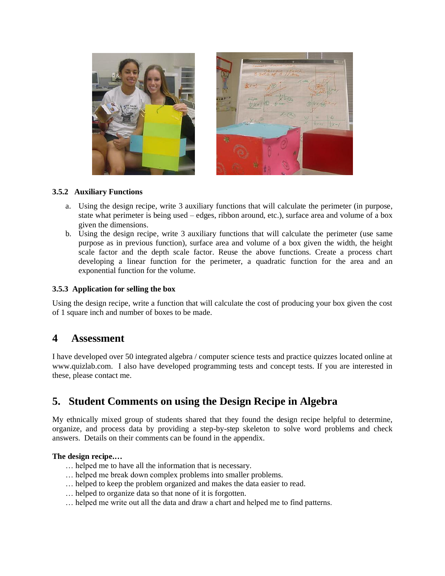

## **3.5.2 Auxiliary Functions**

- a. Using the design recipe, write 3 auxiliary functions that will calculate the perimeter (in purpose, state what perimeter is being used – edges, ribbon around, etc.), surface area and volume of a box given the dimensions.
- b. Using the design recipe, write 3 auxiliary functions that will calculate the perimeter (use same purpose as in previous function), surface area and volume of a box given the width, the height scale factor and the depth scale factor. Reuse the above functions. Create a process chart developing a linear function for the perimeter, a quadratic function for the area and an exponential function for the volume.

## **3.5.3 Application for selling the box**

Using the design recipe, write a function that will calculate the cost of producing your box given the cost of 1 square inch and number of boxes to be made.

## **4 Assessment**

I have developed over 50 integrated algebra / computer science tests and practice quizzes located online at [www.quizlab.com.](http://www.quizlab.com/) I also have developed programming tests and concept tests. If you are interested in these, please contact me.

## **5. Student Comments on using the Design Recipe in Algebra**

My ethnically mixed group of students shared that they found the design recipe helpful to determine, organize, and process data by providing a step-by-step skeleton to solve word problems and check answers. Details on their comments can be found in the appendix.

## **The design recipe.…**

- … helped me to have all the information that is necessary.
- … helped me break down complex problems into smaller problems.
- … helped to keep the problem organized and makes the data easier to read.
- … helped to organize data so that none of it is forgotten.
- … helped me write out all the data and draw a chart and helped me to find patterns.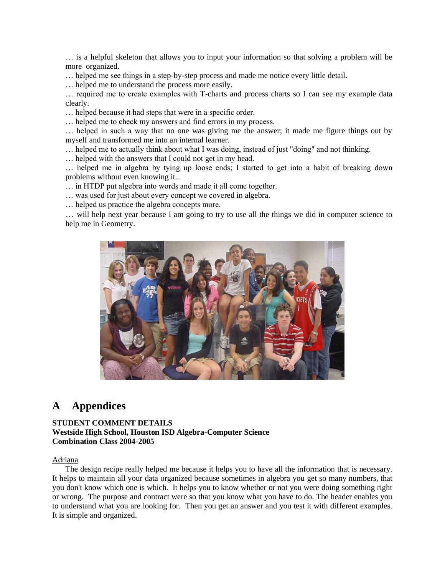… is a helpful skeleton that allows you to input your information so that solving a problem will be more organized.

… helped me see things in a step-by-step process and made me notice every little detail.

… helped me to understand the process more easily.

… required me to create examples with T-charts and process charts so I can see my example data clearly.

… helped because it had steps that were in a specific order.

… helped me to check my answers and find errors in my process.

… helped in such a way that no one was giving me the answer; it made me figure things out by myself and transformed me into an internal learner.

… helped me to actually think about what I was doing, instead of just "doing" and not thinking.

… helped with the answers that I could not get in my head.

… helped me in algebra by tying up loose ends; I started to get into a habit of breaking down problems without even knowing it..

… in HTDP put algebra into words and made it all come together.

… was used for just about every concept we covered in algebra.

… helped us practice the algebra concepts more.

… will help next year because I am going to try to use all the things we did in computer science to help me in Geometry.



## **A Appendices**

## **STUDENT COMMENT DETAILS Westside High School, Houston ISD Algebra-Computer Science Combination Class 2004-2005**

## Adriana

The design recipe really helped me because it helps you to have all the information that is necessary. It helps to maintain all your data organized because sometimes in algebra you get so many numbers, that you don't know which one is which. It helps you to know whether or not you were doing something right or wrong. The purpose and contract were so that you know what you have to do. The header enables you to understand what you are looking for. Then you get an answer and you test it with different examples. It is simple and organized.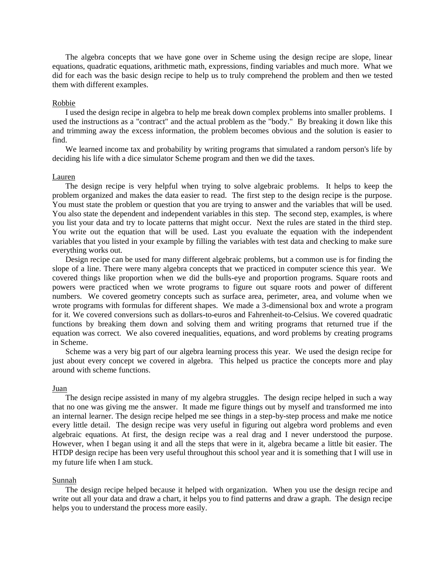The algebra concepts that we have gone over in Scheme using the design recipe are slope, linear equations, quadratic equations, arithmetic math, expressions, finding variables and much more. What we did for each was the basic design recipe to help us to truly comprehend the problem and then we tested them with different examples.

#### Robbie

I used the design recipe in algebra to help me break down complex problems into smaller problems. I used the instructions as a "contract" and the actual problem as the "body." By breaking it down like this and trimming away the excess information, the problem becomes obvious and the solution is easier to find.

We learned income tax and probability by writing programs that simulated a random person's life by deciding his life with a dice simulator Scheme program and then we did the taxes.

## Lauren

The design recipe is very helpful when trying to solve algebraic problems. It helps to keep the problem organized and makes the data easier to read. The first step to the design recipe is the purpose. You must state the problem or question that you are trying to answer and the variables that will be used. You also state the dependent and independent variables in this step. The second step, examples, is where you list your data and try to locate patterns that might occur. Next the rules are stated in the third step. You write out the equation that will be used. Last you evaluate the equation with the independent variables that you listed in your example by filling the variables with test data and checking to make sure everything works out.

Design recipe can be used for many different algebraic problems, but a common use is for finding the slope of a line. There were many algebra concepts that we practiced in computer science this year. We covered things like proportion when we did the bulls-eye and proportion programs. Square roots and powers were practiced when we wrote programs to figure out square roots and power of different numbers. We covered geometry concepts such as surface area, perimeter, area, and volume when we wrote programs with formulas for different shapes. We made a 3-dimensional box and wrote a program for it. We covered conversions such as dollars-to-euros and Fahrenheit-to-Celsius. We covered quadratic functions by breaking them down and solving them and writing programs that returned true if the equation was correct. We also covered inequalities, equations, and word problems by creating programs in Scheme.

Scheme was a very big part of our algebra learning process this year. We used the design recipe for just about every concept we covered in algebra. This helped us practice the concepts more and play around with scheme functions.

#### Juan

The design recipe assisted in many of my algebra struggles. The design recipe helped in such a way that no one was giving me the answer. It made me figure things out by myself and transformed me into an internal learner. The design recipe helped me see things in a step-by-step process and make me notice every little detail. The design recipe was very useful in figuring out algebra word problems and even algebraic equations. At first, the design recipe was a real drag and I never understood the purpose. However, when I began using it and all the steps that were in it, algebra became a little bit easier. The HTDP design recipe has been very useful throughout this school year and it is something that I will use in my future life when I am stuck.

#### Sunnah

The design recipe helped because it helped with organization. When you use the design recipe and write out all your data and draw a chart, it helps you to find patterns and draw a graph. The design recipe helps you to understand the process more easily.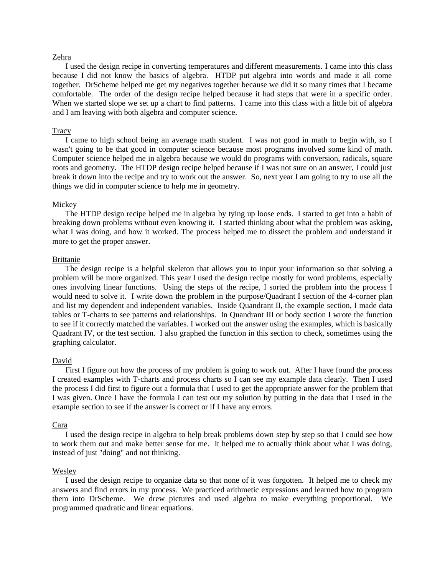## Zehra

I used the design recipe in converting temperatures and different measurements. I came into this class because I did not know the basics of algebra. HTDP put algebra into words and made it all come together. DrScheme helped me get my negatives together because we did it so many times that I became comfortable. The order of the design recipe helped because it had steps that were in a specific order. When we started slope we set up a chart to find patterns. I came into this class with a little bit of algebra and I am leaving with both algebra and computer science.

### **Tracy**

I came to high school being an average math student. I was not good in math to begin with, so I wasn't going to be that good in computer science because most programs involved some kind of math. Computer science helped me in algebra because we would do programs with conversion, radicals, square roots and geometry. The HTDP design recipe helped because if I was not sure on an answer, I could just break it down into the recipe and try to work out the answer. So, next year I am going to try to use all the things we did in computer science to help me in geometry.

#### Mickey

The HTDP design recipe helped me in algebra by tying up loose ends. I started to get into a habit of breaking down problems without even knowing it. I started thinking about what the problem was asking, what I was doing, and how it worked. The process helped me to dissect the problem and understand it more to get the proper answer.

#### Brittanie

The design recipe is a helpful skeleton that allows you to input your information so that solving a problem will be more organized. This year I used the design recipe mostly for word problems, especially ones involving linear functions. Using the steps of the recipe, I sorted the problem into the process I would need to solve it. I write down the problem in the purpose/Quadrant I section of the 4-corner plan and list my dependent and independent variables. Inside Quandrant II, the example section, I made data tables or T-charts to see patterns and relationships. In Quandrant III or body section I wrote the function to see if it correctly matched the variables. I worked out the answer using the examples, which is basically Quadrant IV, or the test section. I also graphed the function in this section to check, sometimes using the graphing calculator.

## David

First I figure out how the process of my problem is going to work out. After I have found the process I created examples with T-charts and process charts so I can see my example data clearly. Then I used the process I did first to figure out a formula that I used to get the appropriate answer for the problem that I was given. Once I have the formula I can test out my solution by putting in the data that I used in the example section to see if the answer is correct or if I have any errors.

#### Cara

I used the design recipe in algebra to help break problems down step by step so that I could see how to work them out and make better sense for me. It helped me to actually think about what I was doing, instead of just "doing" and not thinking.

#### Wesley

I used the design recipe to organize data so that none of it was forgotten. It helped me to check my answers and find errors in my process. We practiced arithmetic expressions and learned how to program them into DrScheme. We drew pictures and used algebra to make everything proportional. We programmed quadratic and linear equations.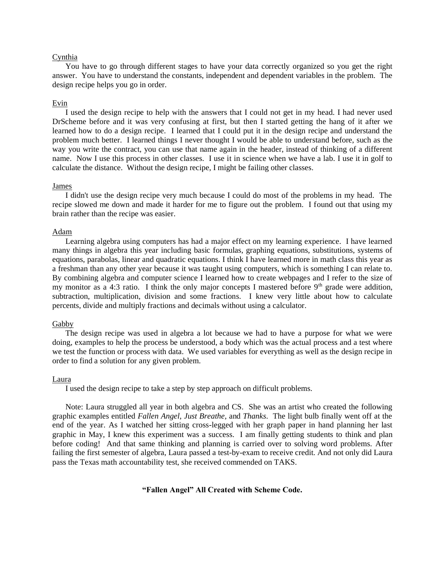## Cynthia

You have to go through different stages to have your data correctly organized so you get the right answer. You have to understand the constants, independent and dependent variables in the problem. The design recipe helps you go in order.

## Evin

I used the design recipe to help with the answers that I could not get in my head. I had never used DrScheme before and it was very confusing at first, but then I started getting the hang of it after we learned how to do a design recipe. I learned that I could put it in the design recipe and understand the problem much better. I learned things I never thought I would be able to understand before, such as the way you write the contract, you can use that name again in the header, instead of thinking of a different name. Now I use this process in other classes. I use it in science when we have a lab. I use it in golf to calculate the distance. Without the design recipe, I might be failing other classes.

#### James

I didn't use the design recipe very much because I could do most of the problems in my head. The recipe slowed me down and made it harder for me to figure out the problem. I found out that using my brain rather than the recipe was easier.

#### Adam

Learning algebra using computers has had a major effect on my learning experience. I have learned many things in algebra this year including basic formulas, graphing equations, substitutions, systems of equations, parabolas, linear and quadratic equations. I think I have learned more in math class this year as a freshman than any other year because it was taught using computers, which is something I can relate to. By combining algebra and computer science I learned how to create webpages and I refer to the size of my monitor as a 4:3 ratio. I think the only major concepts I mastered before  $9<sup>th</sup>$  grade were addition, subtraction, multiplication, division and some fractions. I knew very little about how to calculate percents, divide and multiply fractions and decimals without using a calculator.

#### Gabby

The design recipe was used in algebra a lot because we had to have a purpose for what we were doing, examples to help the process be understood, a body which was the actual process and a test where we test the function or process with data. We used variables for everything as well as the design recipe in order to find a solution for any given problem.

#### Laura

I used the design recipe to take a step by step approach on difficult problems.

Note: Laura struggled all year in both algebra and CS. She was an artist who created the following graphic examples entitled *Fallen Angel, Just Breathe,* and *Thanks*. The light bulb finally went off at the end of the year. As I watched her sitting cross-legged with her graph paper in hand planning her last graphic in May, I knew this experiment was a success. I am finally getting students to think and plan before coding! And that same thinking and planning is carried over to solving word problems. After failing the first semester of algebra, Laura passed a test-by-exam to receive credit. And not only did Laura pass the Texas math accountability test, she received commended on TAKS.

## **"Fallen Angel" All Created with Scheme Code.**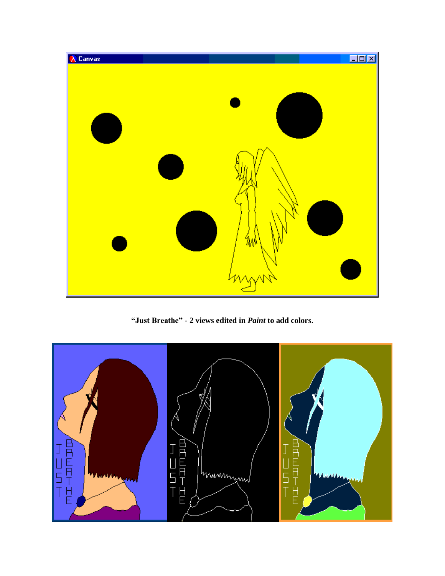

**"Just Breathe" - 2 views edited in** *Paint* **to add colors.**